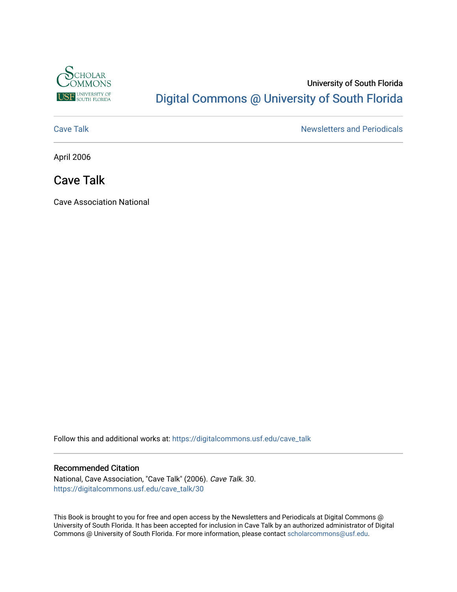

### University of South Florida [Digital Commons @ University of South Florida](https://digitalcommons.usf.edu/)

[Cave Talk](https://digitalcommons.usf.edu/cave_talk) **Newsletters** and Periodicals

April 2006

### Cave Talk

Cave Association National

Follow this and additional works at: [https://digitalcommons.usf.edu/cave\\_talk](https://digitalcommons.usf.edu/cave_talk?utm_source=digitalcommons.usf.edu%2Fcave_talk%2F30&utm_medium=PDF&utm_campaign=PDFCoverPages) 

#### Recommended Citation

National, Cave Association, "Cave Talk" (2006). Cave Talk. 30. [https://digitalcommons.usf.edu/cave\\_talk/30](https://digitalcommons.usf.edu/cave_talk/30?utm_source=digitalcommons.usf.edu%2Fcave_talk%2F30&utm_medium=PDF&utm_campaign=PDFCoverPages)

This Book is brought to you for free and open access by the Newsletters and Periodicals at Digital Commons @ University of South Florida. It has been accepted for inclusion in Cave Talk by an authorized administrator of Digital Commons @ University of South Florida. For more information, please contact [scholarcommons@usf.edu](mailto:scholarcommons@usf.edu).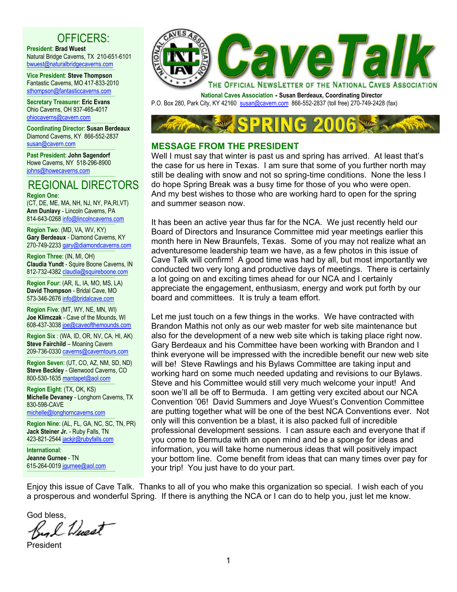### OFFICERS:

**President**: **Brad Wuest**

Natural Bridge Caverns, TX 210-651-6101 bwuest@naturalbridgecaverns.com

----------------------------------------------------------------------------------------- **Vice President**: **Steve Thompson** Fantastic Caverns, MO 417-833-2010 sthompson@fantasticcaverns.com -----------------------------------------------------------------------------------------

**Secretary Treasurer**: **Eric Evans** Ohio Caverns, OH 937-465-4017 ohiocaverns@cavern.com -----------------------------------------------------------------------------------------

**Coordinating Director**: **Susan Berdeaux** Diamond Caverns, KY 866-552-2837 susan@cavern.com

----------------------------------------------------------------------------------------- **Past President**: **John Sagendorf** Howe Caverns, NY 518-296-8900 johns@howecaverns.com -----------------------------------------------------------------------------------------

## REGIONAL DIRECTORS

**Region One**: (CT, DE, ME, MA, NH, NJ, NY, PA,RI,VT) **Ann Dunlavy** - Lincoln Caverns, PA 814-643-0268 info@lincolncaverns.com

**Region Two**: (MD, VA, WV, KY) **Gary Berdeaux** - Diamond Caverns, KY 270-749-2233 gary@diamondcaverns.com

----------------------------------------------------------------------------------------- **Region Three**: (IN, MI, OH) **Claudia Yundt** - Squire Boone Caverns, IN 812-732-4382 claudia@squireboone.com

----------------------------------------------------------------------------------------- **Region Four**: (AR, IL, IA, MO, MS, LA) **David Thompson** - Bridal Cave, MO 573-346-2676 info@bridalcave.com

----------------------------------------------------------------------------------------- **Region Five**: (MT, WY, NE, MN, WI) **Joe Klimczak** - Cave of the Mounds, WI 608-437-3038 joe@caveofthemounds.com

-----------------------------------------------------------------------------------------

**Region Six** : (WA, ID, OR, NV, CA, HI, AK) **Steve Fairchild** – Moaning Cavern 209-736-0330 caverns@caverntours.com

----------------------------------------------------------------------------------------- **Region Seven**: (UT, CO, AZ, NM, SD, ND) **Steve Beckley** - Glenwood Caverns, CO 800-530-1635 mantapet@aol.com

----------------------------------------------------------------------------------------- **Region Eight**: (TX, OK, KS) **Michelle Devaney** - Longhorn Caverns, TX 830-598-CAVE

michelle@longhorncaverns.com -----------------------------------------------------------------------------------------

**Region Nine**: (AL, FL, GA, NC, SC, TN, PR) **Jack Steiner Jr.** - Ruby Falls, TN 423-821-2544 jackjr@rubyfalls.com -----------------------------------------------------------------------------------------

**International**: **Jeanne Gurnee** - TN 615-264-0019 jgurnee@aol.com -----------------------------------------------------------------------------------------



**National Caves Association - Susan Berdeaux, Coordinating Director** P.O. Box 280, Park City, KY 42160 susan@cavern.com 866-552-2837 (toll free) 270-749-2428 (fax)



#### **MESSAGE FROM THE PRESIDENT**

Well I must say that winter is past us and spring has arrived. At least that's the case for us here in Texas. I am sure that some of you further north may still be dealing with snow and not so spring-time conditions. None the less I do hope Spring Break was a busy time for those of you who were open. And my best wishes to those who are working hard to open for the spring and summer season now.

It has been an active year thus far for the NCA. We just recently held our Board of Directors and Insurance Committee mid year meetings earlier this month here in New Braunfels, Texas. Some of you may not realize what an adventuresome leadership team we have, as a few photos in this issue of Cave Talk will confirm! A good time was had by all, but most importantly we conducted two very long and productive days of meetings. There is certainly a lot going on and exciting times ahead for our NCA and I certainly appreciate the engagement, enthusiasm, energy and work put forth by our board and committees. It is truly a team effort.

Let me just touch on a few things in the works. We have contracted with Brandon Mathis not only as our web master for web site maintenance but also for the development of a new web site which is taking place right now. Gary Berdeaux and his Committee have been working with Brandon and I think everyone will be impressed with the incredible benefit our new web site will be! Steve Rawlings and his Bylaws Committee are taking input and working hard on some much needed updating and revisions to our Bylaws. Steve and his Committee would still very much welcome your input! And soon we'll all be off to Bermuda. I am getting very excited about our NCA Convention '06! David Summers and Joye Wuest's Convention Committee are putting together what will be one of the best NCA Conventions ever. Not only will this convention be a blast, it is also packed full of incredible professional development sessions. I can assure each and everyone that if you come to Bermuda with an open mind and be a sponge for ideas and information, you will take home numerous ideas that will positively impact your bottom line. Come benefit from ideas that can many times over pay for your trip! You just have to do your part.

Enjoy this issue of Cave Talk. Thanks to all of you who make this organization so special. I wish each of you a prosperous and wonderful Spring. If there is anything the NCA or I can do to help you, just let me know.

God bless,<br>Big L *Wuest* 

President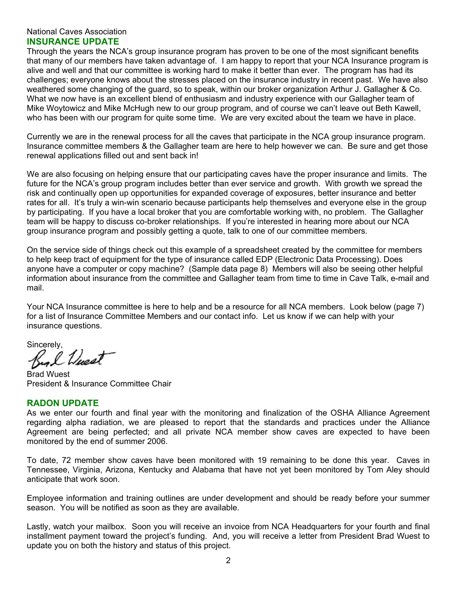#### National Caves Association **INSURANCE UPDATE**

Through the years the NCA's group insurance program has proven to be one of the most significant benefits that many of our members have taken advantage of. I am happy to report that your NCA Insurance program is alive and well and that our committee is working hard to make it better than ever. The program has had its challenges; everyone knows about the stresses placed on the insurance industry in recent past. We have also weathered some changing of the guard, so to speak, within our broker organization Arthur J. Gallagher & Co. What we now have is an excellent blend of enthusiasm and industry experience with our Gallagher team of Mike Woytowicz and Mike McHugh new to our group program, and of course we can't leave out Beth Kawell, who has been with our program for quite some time. We are very excited about the team we have in place.

Currently we are in the renewal process for all the caves that participate in the NCA group insurance program. Insurance committee members & the Gallagher team are here to help however we can. Be sure and get those renewal applications filled out and sent back in!

We are also focusing on helping ensure that our participating caves have the proper insurance and limits. The future for the NCA's group program includes better than ever service and growth. With growth we spread the risk and continually open up opportunities for expanded coverage of exposures, better insurance and better rates for all. It's truly a win-win scenario because participants help themselves and everyone else in the group by participating. If you have a local broker that you are comfortable working with, no problem. The Gallagher team will be happy to discuss co-broker relationships. If you're interested in hearing more about our NCA group insurance program and possibly getting a quote, talk to one of our committee members.

On the service side of things check out this example of a spreadsheet created by the committee for members to help keep tract of equipment for the type of insurance called EDP (Electronic Data Processing). Does anyone have a computer or copy machine? (Sample data page 8) Members will also be seeing other helpful information about insurance from the committee and Gallagher team from time to time in Cave Talk, e-mail and mail.

Your NCA Insurance committee is here to help and be a resource for all NCA members. Look below (page 7) for a list of Insurance Committee Members and our contact info. Let us know if we can help with your insurance questions.

Sincerely,<br>By L *Wweat* 

Brad Wuest President & Insurance Committee Chair

#### **RADON UPDATE**

As we enter our fourth and final year with the monitoring and finalization of the OSHA Alliance Agreement regarding alpha radiation, we are pleased to report that the standards and practices under the Alliance Agreement are being perfected; and all private NCA member show caves are expected to have been monitored by the end of summer 2006.

To date, 72 member show caves have been monitored with 19 remaining to be done this year. Caves in Tennessee, Virginia, Arizona, Kentucky and Alabama that have not yet been monitored by Tom Aley should anticipate that work soon.

Employee information and training outlines are under development and should be ready before your summer season. You will be notified as soon as they are available.

Lastly, watch your mailbox. Soon you will receive an invoice from NCA Headquarters for your fourth and final installment payment toward the project's funding. And, you will receive a letter from President Brad Wuest to update you on both the history and status of this project.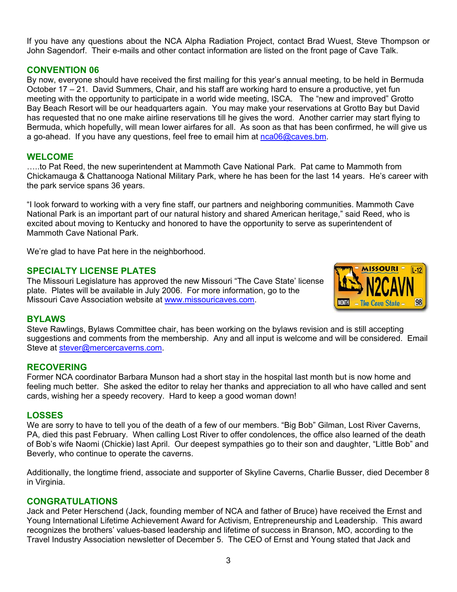If you have any questions about the NCA Alpha Radiation Project, contact Brad Wuest, Steve Thompson or John Sagendorf. Their e-mails and other contact information are listed on the front page of Cave Talk.

#### **CONVENTION 06**

By now, everyone should have received the first mailing for this year's annual meeting, to be held in Bermuda October 17 – 21. David Summers, Chair, and his staff are working hard to ensure a productive, yet fun meeting with the opportunity to participate in a world wide meeting, ISCA. The "new and improved" Grotto Bay Beach Resort will be our headquarters again. You may make your reservations at Grotto Bay but David has requested that no one make airline reservations till he gives the word. Another carrier may start flying to Bermuda, which hopefully, will mean lower airfares for all. As soon as that has been confirmed, he will give us a go-ahead. If you have any questions, feel free to email him at nca06@caves.bm.

#### **WELCOME**

…..to Pat Reed, the new superintendent at Mammoth Cave National Park. Pat came to Mammoth from Chickamauga & Chattanooga National Military Park, where he has been for the last 14 years. He's career with the park service spans 36 years.

"I look forward to working with a very fine staff, our partners and neighboring communities. Mammoth Cave National Park is an important part of our natural history and shared American heritage," said Reed, who is excited about moving to Kentucky and honored to have the opportunity to serve as superintendent of Mammoth Cave National Park.

We're glad to have Pat here in the neighborhood.

#### **SPECIALTY LICENSE PLATES**

The Missouri Legislature has approved the new Missouri "The Cave State' license plate. Plates will be available in July 2006. For more information, go to the Missouri Cave Association website at www.missouricaves.com.



#### **BYLAWS**

Steve Rawlings, Bylaws Committee chair, has been working on the bylaws revision and is still accepting suggestions and comments from the membership. Any and all input is welcome and will be considered. Email Steve at stever@mercercaverns.com.

#### **RECOVERING**

Former NCA coordinator Barbara Munson had a short stay in the hospital last month but is now home and feeling much better. She asked the editor to relay her thanks and appreciation to all who have called and sent cards, wishing her a speedy recovery. Hard to keep a good woman down!

#### **LOSSES**

We are sorry to have to tell you of the death of a few of our members. "Big Bob" Gilman, Lost River Caverns, PA, died this past February. When calling Lost River to offer condolences, the office also learned of the death of Bob's wife Naomi (Chickie) last April. Our deepest sympathies go to their son and daughter, "Little Bob" and Beverly, who continue to operate the caverns.

Additionally, the longtime friend, associate and supporter of Skyline Caverns, Charlie Busser, died December 8 in Virginia.

#### **CONGRATULATIONS**

Jack and Peter Herschend (Jack, founding member of NCA and father of Bruce) have received the Ernst and Young International Lifetime Achievement Award for Activism, Entrepreneurship and Leadership. This award recognizes the brothers' values-based leadership and lifetime of success in Branson, MO, according to the Travel Industry Association newsletter of December 5. The CEO of Ernst and Young stated that Jack and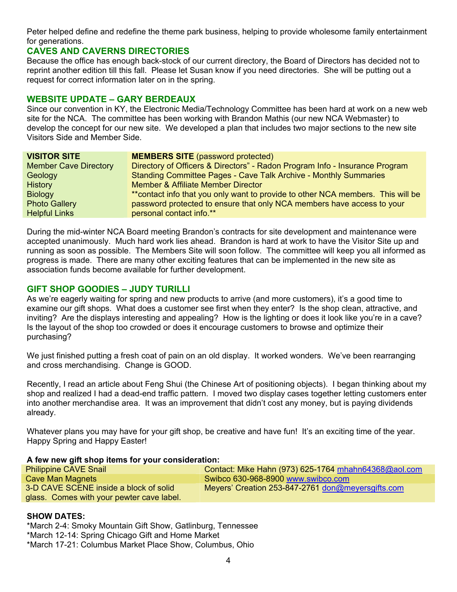Peter helped define and redefine the theme park business, helping to provide wholesome family entertainment for generations.

#### **CAVES AND CAVERNS DIRECTORIES**

Because the office has enough back-stock of our current directory, the Board of Directors has decided not to reprint another edition till this fall. Please let Susan know if you need directories. She will be putting out a request for correct information later on in the spring.

#### **WEBSITE UPDATE – GARY BERDEAUX**

Since our convention in KY, the Electronic Media/Technology Committee has been hard at work on a new web site for the NCA. The committee has been working with Brandon Mathis (our new NCA Webmaster) to develop the concept for our new site. We developed a plan that includes two major sections to the new site Visitors Side and Member Side.

| <b>VISITOR SITE</b>          | <b>MEMBERS SITE (password protected)</b>                                         |  |  |  |  |
|------------------------------|----------------------------------------------------------------------------------|--|--|--|--|
| <b>Member Cave Directory</b> | Directory of Officers & Directors" - Radon Program Info - Insurance Program      |  |  |  |  |
| Geology                      | <b>Standing Committee Pages - Cave Talk Archive - Monthly Summaries</b>          |  |  |  |  |
| <b>History</b>               | <b>Member &amp; Affiliate Member Director</b>                                    |  |  |  |  |
| <b>Biology</b>               | ** contact info that you only want to provide to other NCA members. This will be |  |  |  |  |
| <b>Photo Gallery</b>         | password protected to ensure that only NCA members have access to your           |  |  |  |  |
| <b>Helpful Links</b>         | personal contact info.**                                                         |  |  |  |  |

During the mid-winter NCA Board meeting Brandon's contracts for site development and maintenance were accepted unanimously. Much hard work lies ahead. Brandon is hard at work to have the Visitor Site up and running as soon as possible. The Members Site will soon follow. The committee will keep you all informed as progress is made. There are many other exciting features that can be implemented in the new site as association funds become available for further development.

#### **GIFT SHOP GOODIES – JUDY TURILLI**

As we're eagerly waiting for spring and new products to arrive (and more customers), it's a good time to examine our gift shops. What does a customer see first when they enter? Is the shop clean, attractive, and inviting? Are the displays interesting and appealing? How is the lighting or does it look like you're in a cave? Is the layout of the shop too crowded or does it encourage customers to browse and optimize their purchasing?

We just finished putting a fresh coat of pain on an old display. It worked wonders. We've been rearranging and cross merchandising. Change is GOOD.

Recently, I read an article about Feng Shui (the Chinese Art of positioning objects). I began thinking about my shop and realized I had a dead-end traffic pattern. I moved two display cases together letting customers enter into another merchandise area. It was an improvement that didn't cost any money, but is paying dividends already.

Whatever plans you may have for your gift shop, be creative and have fun! It's an exciting time of the year. Happy Spring and Happy Easter!

#### **A few new gift shop items for your consideration:**

| <b>Philippine CAVE Snail</b>              | Contact: Mike Hahn (973) 625-1764 mhahn64368@aol.com |
|-------------------------------------------|------------------------------------------------------|
| Cave Man Magnets                          | Swibco 630-968-8900 www.swibco.com                   |
| 3-D CAVE SCENE inside a block of solid    | Meyers' Creation 253-847-2761 don@meyersgifts.com    |
| glass. Comes with your pewter cave label. |                                                      |

#### **SHOW DATES:**

\*March 2-4: Smoky Mountain Gift Show, Gatlinburg, Tennessee \*March 12-14: Spring Chicago Gift and Home Market \*March 17-21: Columbus Market Place Show, Columbus, Ohio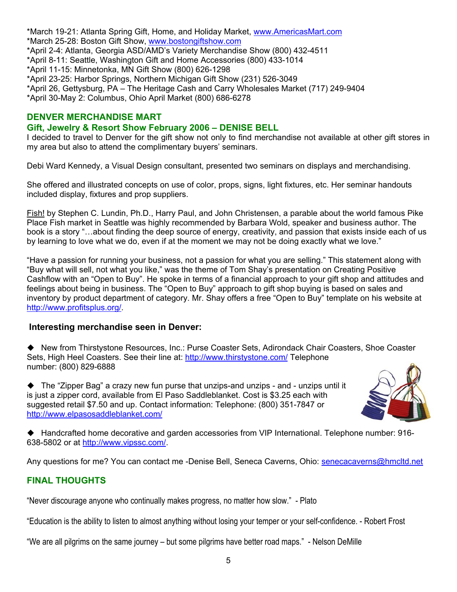\*March 19-21: Atlanta Spring Gift, Home, and Holiday Market, www.AmericasMart.com \*March 25-28: Boston Gift Show, www.bostongiftshow.com \*April 2-4: Atlanta, Georgia ASD/AMD's Variety Merchandise Show (800) 432-4511 \*April 8-11: Seattle, Washington Gift and Home Accessories (800) 433-1014 \*April 11-15: Minnetonka, MN Gift Show (800) 626-1298 \*April 23-25: Harbor Springs, Northern Michigan Gift Show (231) 526-3049 \*April 26, Gettysburg, PA – The Heritage Cash and Carry Wholesales Market (717) 249-9404 \*April 30-May 2: Columbus, Ohio April Market (800) 686-6278

#### **DENVER MERCHANDISE MART**

#### **Gift, Jewelry & Resort Show February 2006 – DENISE BELL**

I decided to travel to Denver for the gift show not only to find merchandise not available at other gift stores in my area but also to attend the complimentary buyers' seminars.

Debi Ward Kennedy, a Visual Design consultant, presented two seminars on displays and merchandising.

She offered and illustrated concepts on use of color, props, signs, light fixtures, etc. Her seminar handouts included display, fixtures and prop suppliers.

Fish! by Stephen C. Lundin, Ph.D., Harry Paul, and John Christensen, a parable about the world famous Pike Place Fish market in Seattle was highly recommended by Barbara Wold, speaker and business author. The book is a story "…about finding the deep source of energy, creativity, and passion that exists inside each of us by learning to love what we do, even if at the moment we may not be doing exactly what we love."

"Have a passion for running your business, not a passion for what you are selling." This statement along with "Buy what will sell, not what you like," was the theme of Tom Shay's presentation on Creating Positive Cashflow with an "Open to Buy". He spoke in terms of a financial approach to your gift shop and attitudes and feelings about being in business. The "Open to Buy" approach to gift shop buying is based on sales and inventory by product department of category. Mr. Shay offers a free "Open to Buy" template on his website at http://www.profitsplus.org/.

#### **Interesting merchandise seen in Denver:**

 New from Thirstystone Resources, Inc.: Purse Coaster Sets, Adirondack Chair Coasters, Shoe Coaster Sets, High Heel Coasters. See their line at: http://www.thirstystone.com/ Telephone number: (800) 829-6888

◆ The "Zipper Bag" a crazy new fun purse that unzips-and unzips - and - unzips until it is just a zipper cord, available from El Paso Saddleblanket. Cost is \$3.25 each with suggested retail \$7.50 and up. Contact information: Telephone: (800) 351-7847 or http://www.elpasosaddleblanket.com/



 Handcrafted home decorative and garden accessories from VIP International. Telephone number: 916- 638-5802 or at http://www.vipssc.com/.

Any questions for me? You can contact me -Denise Bell, Seneca Caverns, Ohio: senecacaverns@hmcltd.net

### **FINAL THOUGHTS**

"Never discourage anyone who continually makes progress, no matter how slow." - Plato

"Education is the ability to listen to almost anything without losing your temper or your self-confidence. - Robert Frost

"We are all pilgrims on the same journey – but some pilgrims have better road maps." - Nelson DeMille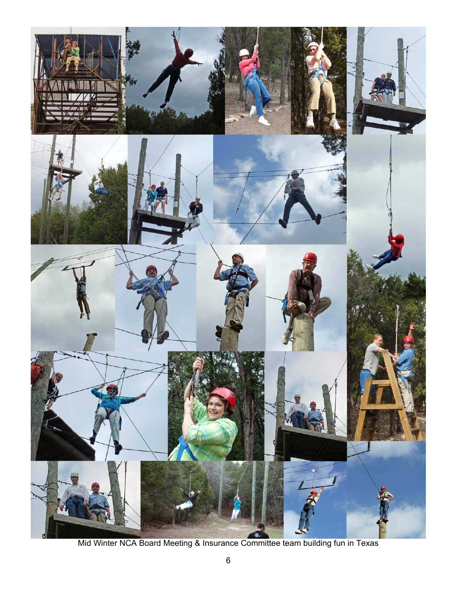

Mid Winter NCA Board Meeting & Insurance Committee team building fun in Texas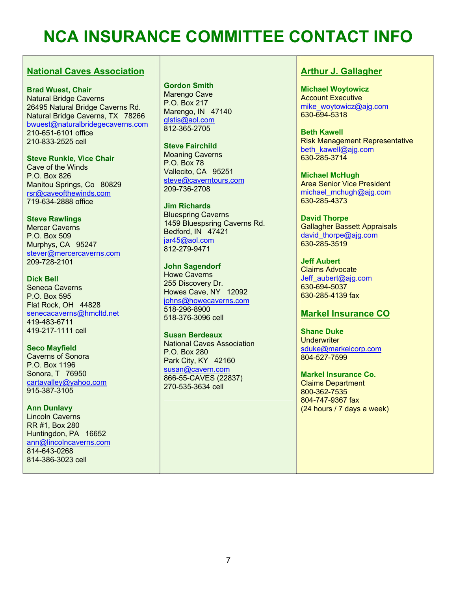# **NCA INSURANCE COMMITTEE CONTACT INFO**

#### **National Caves Association**

**Brad Wuest, Chair**  Natural Bridge Caverns 26495 Natural Bridge Caverns Rd. Natural Bridge Caverns, TX 78266 bwuest@naturalbridegecaverns.com 210-651-6101 office 210-833-2525 cell

**Steve Runkle, Vice Chair**  Cave of the Winds P.O. Box 826 Manitou Springs, Co 80829 rsr@caveofthewinds.com 719-634-2888 office

**Steve Rawlings**  Mercer Caverns P.O. Box 509 Murphys, CA 95247 stever@mercercaverns.com 209-728-2101

**Dick Bell**  Seneca Caverns P.O. Box 595 Flat Rock, OH 44828 senecacaverns@hmcltd.net 419-483-6711 419-217-1111 cell

**Seco Mayfield**  Caverns of Sonora P.O. Box 1196 Sonora, T 76950 cartavalley@yahoo.com 915-387-3105

**Ann Dunlavy**  Lincoln Caverns RR #1, Box 280 Huntingdon, PA 16652 ann@lincolncaverns.com 814-643-0268 814-386-3023 cell

**Gordon Smith**  Marengo Cave P.O. Box 217 Marengo, IN 47140 glstis@aol.com 812-365-2705

**Steve Fairchild**  Moaning Caverns P.O. Box 78 Vallecito, CA 95251 steve@caverntours.com 209-736-2708

**Jim Richards**  Bluespring Caverns 1459 Bluespsring Caverns Rd. Bedford, IN 47421 jar45@aol.com 812-279-9471

**John Sagendorf**  Howe Caverns 255 Discovery Dr. Howes Cave, NY 12092 johns@howecaverns.com 518-296-8900 518-376-3096 cell

**Susan Berdeaux**  National Caves Association P.O. Box 280 Park City, KY 42160 susan@cavern.com 866-55-CAVES (22837) 270-535-3634 cell

#### **Arthur J. Gallagher**

**Michael Woytowicz**  Account Executive mike\_woytowicz@ajq.com 630-694-5318

**Beth Kawell**  Risk Management Representative beth\_kawell@ajg.com 630-285-3714

**Michael McHugh**  Area Senior Vice President michael\_mchugh@ajg.com 630-285-4373

**David Thorpe**  Gallagher Bassett Appraisals david thorpe@ajq.com 630-285-3519

**Jeff Aubert**  Claims Advocate Jeff\_aubert@ajg.com 630-694-5037 630-285-4139 fax

#### **Markel Insurance CO**

**Shane Duke Underwriter** sduke@markelcorp.com 804-527-7599

**Markel Insurance Co.**  Claims Department 800-362-7535 804-747-9367 fax (24 hours / 7 days a week)